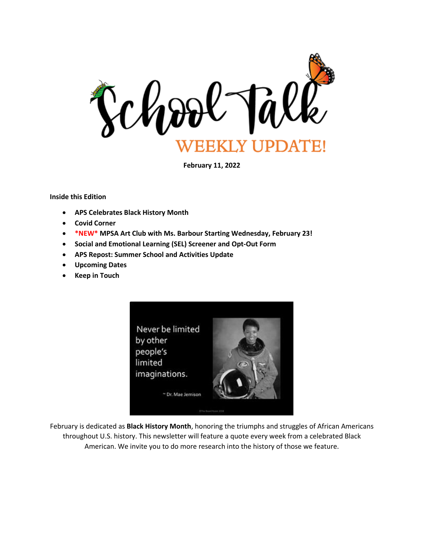

**February 11, 2022**

**Inside this Edition**

- **APS Celebrates Black History Month**
- **Covid Corner**
- **\*NEW\* MPSA Art Club with Ms. Barbour Starting Wednesday, February 23!**
- **Social and Emotional Learning (SEL) Screener and Opt-Out Form**
- **APS Repost: Summer School and Activities Update**
- **Upcoming Dates**
- **Keep in Touch**



February is dedicated as **Black History Month**, honoring the triumphs and struggles of African Americans throughout U.S. history. This newsletter will feature a quote every week from a celebrated Black American. We invite you to do more research into the history of those we feature.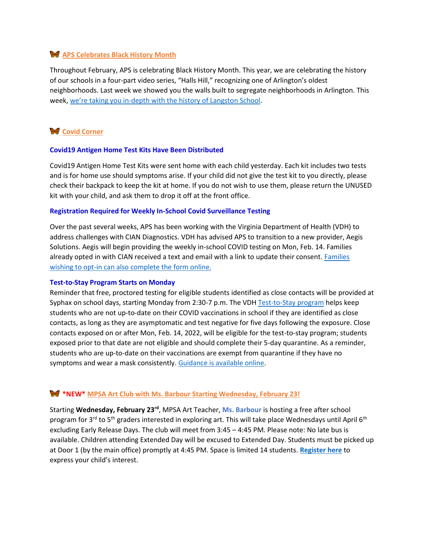# **APS Celebrates Black History Month**

Throughout February, APS is celebrating Black History Month. This year, we are celebrating the history of our schools in a four-part video series, "Halls Hill," recognizing one of Arlington's oldest neighborhoods. Last week we showed you the walls built to segregate neighborhoods in Arlington. This week, we're taking you in[-depth with the history of Langston School.](http://track.spe.schoolmessenger.com/f/a/SNwbL830ONsQVEaSm5Q1oQ~~/AAAAAQA~/RgRj59sLP0QpaHR0cHM6Ly93d3cuYXBzdmEudXMvYmxhY2staGlzdG9yeS1tb250aC9XB3NjaG9vbG1CCmIFi6cGYi4DYJJSGWplbm5pZmVyLmdvbnphZ2FAYXBzdmEudXNYBAAAAAE~)

# **Covid Corner**

#### **Covid19 Antigen Home Test Kits Have Been Distributed**

Covid19 Antigen Home Test Kits were sent home with each child yesterday. Each kit includes two tests and is for home use should symptoms arise. If your child did not give the test kit to you directly, please check their backpack to keep the kit at home. If you do not wish to use them, please return the UNUSED kit with your child, and ask them to drop it off at the front office.

### **Registration Required for Weekly In-School Covid Surveillance Testing**

Over the past several weeks, APS has been working with the Virginia Department of Health (VDH) to address challenges with CIAN Diagnostics. VDH has advised APS to transition to a new provider, Aegis Solutions. Aegis will begin providing the weekly in-school COVID testing on Mon, Feb. 14. Families already opted in with CIAN received a text and email with a link to update their consent. [Families](http://track.spe.schoolmessenger.com/f/a/Jea19Askyp6zC9VP5hvBXA~~/AAAAAQA~/RgRj59sLP0RUaHR0cHM6Ly93d3cuYXBzdmEudXMvc2Nob29sLXllYXItMjAyMS0yMi9oZWFsdGgtc2FmZXR5LWluZm9ybWF0aW9uL2NvdmlkLTE5LXRlc3RpbmcvVwdzY2hvb2xtQgpiBYunBmIuA2CSUhlqZW5uaWZlci5nb256YWdhQGFwc3ZhLnVzWAQAAAAB)  [wishing to opt-in can also complete the form online.](http://track.spe.schoolmessenger.com/f/a/Jea19Askyp6zC9VP5hvBXA~~/AAAAAQA~/RgRj59sLP0RUaHR0cHM6Ly93d3cuYXBzdmEudXMvc2Nob29sLXllYXItMjAyMS0yMi9oZWFsdGgtc2FmZXR5LWluZm9ybWF0aW9uL2NvdmlkLTE5LXRlc3RpbmcvVwdzY2hvb2xtQgpiBYunBmIuA2CSUhlqZW5uaWZlci5nb256YWdhQGFwc3ZhLnVzWAQAAAAB)

#### **Test-to-Stay Program Starts on Monday**

Reminder that free, proctored testing for eligible students identified as close contacts will be provided at Syphax on school days, starting Monday from 2:30-7 p.m. The VDH [Test-to-Stay program](http://track.spe.schoolmessenger.com/f/a/KCOzq9cjivPRtk465eHjqw~~/AAAAAQA~/RgRj5Rx6P0RYaHR0cHM6Ly93d3cuYXBzdmEudXMvc2Nob29sLXllYXItMjAyMS0yMi9oZWFsdGgtc2FmZXR5LWluZm9ybWF0aW9uL3Rlc3QtdG8tc3RheS1wcm9ncmFtL1cHc2Nob29sbUIKYgH66ANimG06KFIZamVubmlmZXIuZ29uemFnYUBhcHN2YS51c1gEAAAAAQ~~) helps keep students who are not up-to-date on their COVID vaccinations in school if they are identified as close contacts, as long as they are asymptomatic and test negative for five days following the exposure. Close contacts exposed on or after Mon, Feb. 14, 2022, will be eligible for the test-to-stay program; students exposed prior to that date are not eligible and should complete their 5-day quarantine. As a reminder, students who are up-to-date on their vaccinations are exempt from quarantine if they have no symptoms and wear a mask consistently. [Guidance is available online.](http://track.spe.schoolmessenger.com/f/a/Rn6-oNMccm2gwCubXE2rDg~~/AAAAAQA~/RgRj5Rx6P0RoaHR0cHM6Ly93d3cuYXBzdmEudXMvc2Nob29sLXllYXItMjAyMS0yMi9oZWFsdGgtc2FmZXR5LWluZm9ybWF0aW9uL2NvbnRhY3QtdHJhY2luZy1xdWFyYW50aW5lLWlzb2xhdGlvbi9XB3NjaG9vbG1CCmIB-ugDYphtOihSGWplbm5pZmVyLmdvbnphZ2FAYXBzdmEudXNYBAAAAAE~)

### **\*NEW\* MPSA Art Club with Ms. Barbour Starting Wednesday, February 23!**

Starting **Wednesday, February 23rd**, MPSA Art Teacher, **Ms. Barbour** is hosting a free after school program for 3<sup>rd</sup> to 5<sup>th</sup> graders interested in exploring art. This will take place Wednesdays until April 6<sup>th</sup> excluding Early Release Days. The club will meet from 3:45 – 4:45 PM. Please note: No late bus is available. Children attending Extended Day will be excused to Extended Day. Students must be picked up at Door 1 (by the main office) promptly at 4:45 PM. Space is limited 14 students. **[Register here](https://forms.gle/6tuo9JPD9gacCDDV9)** to express your child's interest.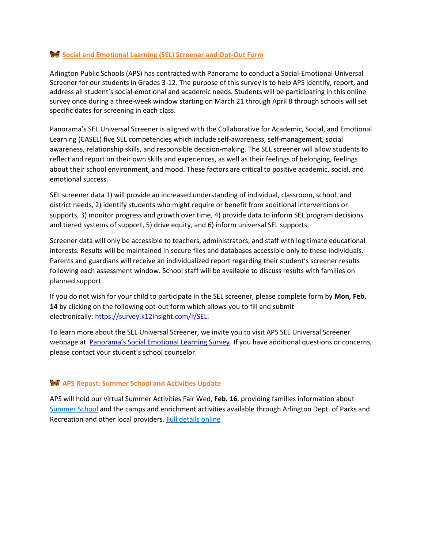## **Social and Emotional Learning (SEL) Screener and Opt-Out Form**

Arlington Public Schools (APS) has contracted with Panorama to conduct a Social-Emotional Universal Screener for our students in Grades 3-12. The purpose of this survey is to help APS identify, report, and address all student's social-emotional and academic needs. Students will be participating in this online survey once during a three-week window starting on March 21 through April 8 through schools will set specific dates for screening in each class.

Panorama's SEL Universal Screener is aligned with the Collaborative for Academic, Social, and Emotional Learning (CASEL) five SEL competencies which include self-awareness, self-management, social awareness, relationship skills, and responsible decision-making. The SEL screener will allow students to reflect and report on their own skills and experiences, as well as their feelings of belonging, feelings about their school environment, and mood. These factors are critical to positive academic, social, and emotional success.

SEL screener data 1) will provide an increased understanding of individual, classroom, school, and district needs, 2) identify students who might require or benefit from additional interventions or supports, 3) monitor progress and growth over time, 4) provide data to inform SEL program decisions and tiered systems of support, 5) drive equity, and 6) inform universal SEL supports.

Screener data will only be accessible to teachers, administrators, and staff with legitimate educational interests. Results will be maintained in secure files and databases accessible only to these individuals. Parents and guardians will receive an individualized report regarding their student's screener results following each assessment window. School staff will be available to discuss results with families on planned support.

If you do not wish for your child to participate in the SEL screener, please complete form by **Mon, Feb. 14** by clicking on the following opt-out form which allows you to fill and submit electronically: [https://survey.k12insight.com/r/SEL.](https://survey.k12insight.com/r/SEL)

To learn more about the SEL Universal Screener, we invite you to visit APS SEL Universal Screener webpage at [Panorama's Social Emotional Learning Survey](https://www.apsva.us/student-services/social-emotional-learning/panorama-survey-development/). If you have additional questions or concerns, please contact your student's school counselor.

# **APS Repost: Summer School and Activities Update**

APS will hold our virtual Summer Activities Fair Wed, **Feb. 16**, providing families information about [Summer School](http://track.spe.schoolmessenger.com/f/a/TvLSFGp7fuxvkui_AsP32Q~~/AAAAAQA~/RgRj5Rx6P0QjaHR0cHM6Ly93d3cuYXBzdmEudXMvc3VtbWVyLXNjaG9vbC9XB3NjaG9vbG1CCmIB-ugDYphtOihSGWplbm5pZmVyLmdvbnphZ2FAYXBzdmEudXNYBAAAAAE~) and the camps and enrichment activities available through Arlington Dept. of Parks and Recreation and other local providers. [Full details online](http://track.spe.schoolmessenger.com/f/a/ntgBt5h0-0Y4q4666MUwgA~~/AAAAAQA~/RgRj5Rx6P0QgaHR0cHM6Ly93d3cuYXBzdmEudXMvc3VtbWVyZmFpci9XB3NjaG9vbG1CCmIB-ugDYphtOihSGWplbm5pZmVyLmdvbnphZ2FAYXBzdmEudXNYBAAAAAE~)